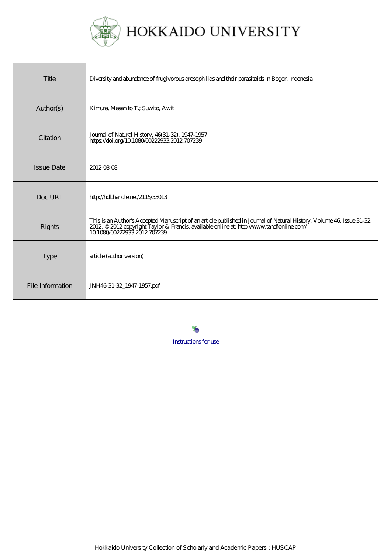

| Title             | Diversity and abundance of frugivorous drosophilids and their parasitoids in Bogor, Indonesia                                                                                                                                                      |
|-------------------|----------------------------------------------------------------------------------------------------------------------------------------------------------------------------------------------------------------------------------------------------|
| Author(s)         | Kimura Masahito T.; Suwito, Awit                                                                                                                                                                                                                   |
| Citation          | Journal of Natural History, 46(31-32), 1947-1957<br>https://doi.org/10.108000222933.2012.707239                                                                                                                                                    |
| <b>Issue Date</b> | 2012-08-08                                                                                                                                                                                                                                         |
| Doc URL           | http://hdl.handle.net/2115/53013                                                                                                                                                                                                                   |
| <b>Rights</b>     | This is an Author's Accepted Manuscript of an article published in Journal of Natural History, Volume 46, Issue 31-32,<br>2012, © 2012 copyright Taylor & Francis, available online at: http://www.tandfonline.com/<br>10.1080/002229332012707239. |
| <b>Type</b>       | article (author version)                                                                                                                                                                                                                           |
| File Information  | JNH4631-32_1947-1957.pdf                                                                                                                                                                                                                           |

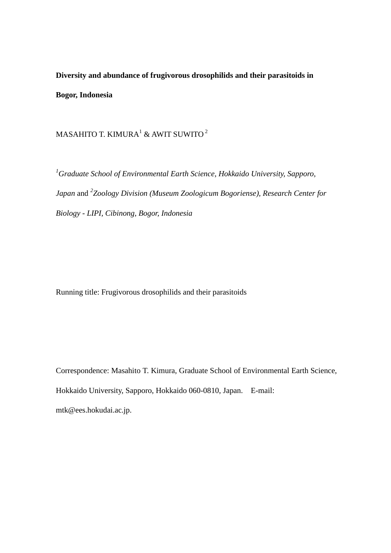**Diversity and abundance of frugivorous drosophilids and their parasitoids in Bogor, Indonesia**

MASAHITO T. KIMURA<sup>1</sup> & AWIT SUWITO<sup>2</sup>

*<sup>1</sup>Graduate School of Environmental Earth Science, Hokkaido University, Sapporo, Japan* and *<sup>2</sup> Zoology Division (Museum Zoologicum Bogoriense), Research Center for Biology - LIPI, Cibinong, Bogor, Indonesia*

Running title: Frugivorous drosophilids and their parasitoids

Correspondence: Masahito T. Kimura, Graduate School of Environmental Earth Science, Hokkaido University, Sapporo, Hokkaido 060-0810, Japan. E-mail: [mtk@ees.hokudai.ac.jp.](mailto:mtk@ees.hokudai.ac.jp)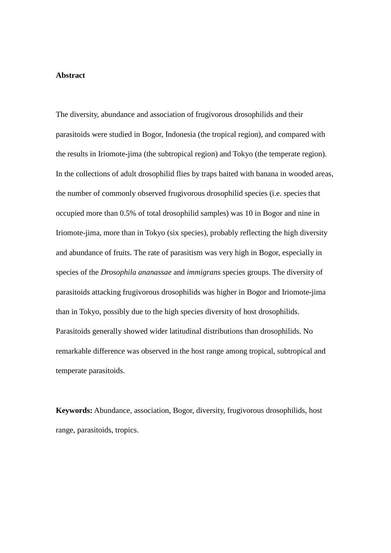#### **Abstract**

The diversity, abundance and association of frugivorous drosophilids and their parasitoids were studied in Bogor, Indonesia (the tropical region), and compared with the results in Iriomote-jima (the subtropical region) and Tokyo (the temperate region). In the collections of adult drosophilid flies by traps baited with banana in wooded areas, the number of commonly observed frugivorous drosophilid species (i.e. species that occupied more than 0.5% of total drosophilid samples) was 10 in Bogor and nine in Iriomote-jima, more than in Tokyo (six species), probably reflecting the high diversity and abundance of fruits. The rate of parasitism was very high in Bogor, especially in species of the *Drosophila ananassae* and *immigrans* species groups. The diversity of parasitoids attacking frugivorous drosophilids was higher in Bogor and Iriomote-jima than in Tokyo, possibly due to the high species diversity of host drosophilids. Parasitoids generally showed wider latitudinal distributions than drosophilids. No remarkable difference was observed in the host range among tropical, subtropical and temperate parasitoids.

**Keywords:** Abundance, association, Bogor, diversity, frugivorous drosophilids, host range, parasitoids, tropics.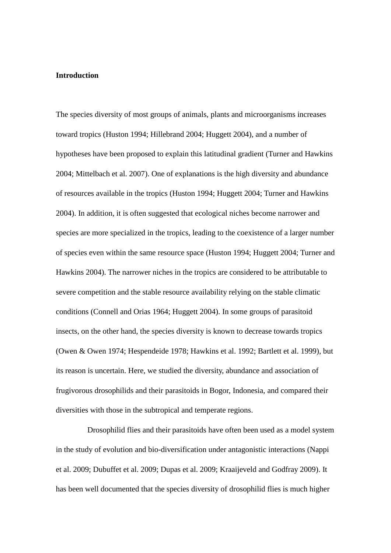### **Introduction**

The species diversity of most groups of animals, plants and microorganisms increases toward tropics (Huston 1994; Hillebrand 2004; Huggett 2004), and a number of hypotheses have been proposed to explain this latitudinal gradient (Turner and Hawkins 2004; Mittelbach et al. 2007). One of explanations is the high diversity and abundance of resources available in the tropics (Huston 1994; Huggett 2004; Turner and Hawkins 2004). In addition, it is often suggested that ecological niches become narrower and species are more specialized in the tropics, leading to the coexistence of a larger number of species even within the same resource space (Huston 1994; Huggett 2004; Turner and Hawkins 2004). The narrower niches in the tropics are considered to be attributable to severe competition and the stable resource availability relying on the stable climatic conditions (Connell and Orias 1964; Huggett 2004). In some groups of parasitoid insects, on the other hand, the species diversity is known to decrease towards tropics (Owen & Owen 1974; Hespendeide 1978; Hawkins et al. 1992; Bartlett et al. 1999), but its reason is uncertain. Here, we studied the diversity, abundance and association of frugivorous drosophilids and their parasitoids in Bogor, Indonesia, and compared their diversities with those in the subtropical and temperate regions.

Drosophilid flies and their parasitoids have often been used as a model system in the study of evolution and bio-diversification under antagonistic interactions (Nappi et al. 2009; Dubuffet et al. 2009; Dupas et al. 2009; Kraaijeveld and Godfray 2009). It has been well documented that the species diversity of drosophilid flies is much higher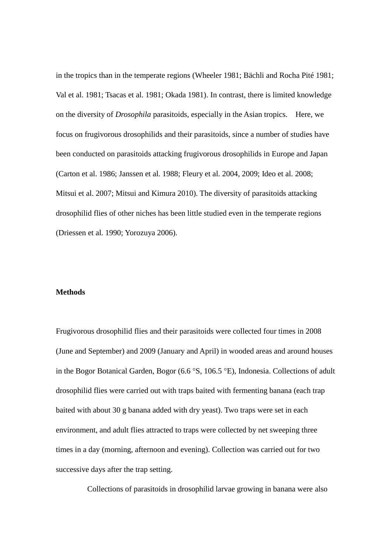in the tropics than in the temperate regions (Wheeler 1981; Bächli and Rocha Pité 1981; Val et al. 1981; Tsacas et al. 1981; Okada 1981). In contrast, there is limited knowledge on the diversity of *Drosophila* parasitoids, especially in the Asian tropics. Here, we focus on frugivorous drosophilids and their parasitoids, since a number of studies have been conducted on parasitoids attacking frugivorous drosophilids in Europe and Japan (Carton et al. 1986; Janssen et al. 1988; Fleury et al. 2004, 2009; Ideo et al. 2008; Mitsui et al. 2007; Mitsui and Kimura 2010). The diversity of parasitoids attacking drosophilid flies of other niches has been little studied even in the temperate regions (Driessen et al. 1990; Yorozuya 2006).

# **Methods**

Frugivorous drosophilid flies and their parasitoids were collected four times in 2008 (June and September) and 2009 (January and April) in wooded areas and around houses in the Bogor Botanical Garden, Bogor  $(6.6 \degree S, 106.5 \degree E)$ , Indonesia. Collections of adult drosophilid flies were carried out with traps baited with fermenting banana (each trap baited with about 30 g banana added with dry yeast). Two traps were set in each environment, and adult flies attracted to traps were collected by net sweeping three times in a day (morning, afternoon and evening). Collection was carried out for two successive days after the trap setting.

Collections of parasitoids in drosophilid larvae growing in banana were also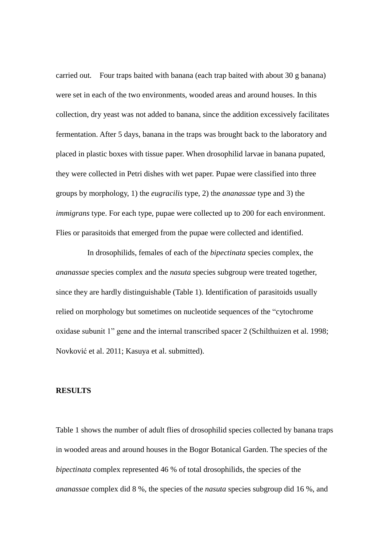carried out. Four traps baited with banana (each trap baited with about 30 g banana) were set in each of the two environments, wooded areas and around houses. In this collection, dry yeast was not added to banana, since the addition excessively facilitates fermentation. After 5 days, banana in the traps was brought back to the laboratory and placed in plastic boxes with tissue paper. When drosophilid larvae in banana pupated, they were collected in Petri dishes with wet paper. Pupae were classified into three groups by morphology, 1) the *eugracilis* type, 2) the *ananassae* type and 3) the *immigrans* type. For each type, pupae were collected up to 200 for each environment. Flies or parasitoids that emerged from the pupae were collected and identified.

In drosophilids, females of each of the *bipectinata* species complex, the *ananassae* species complex and the *nasuta* species subgroup were treated together, since they are hardly distinguishable (Table 1). Identification of parasitoids usually relied on morphology but sometimes on nucleotide sequences of the "cytochrome oxidase subunit 1" gene and the internal transcribed spacer 2 (Schilthuizen et al. 1998; Novković et al. 2011; Kasuya et al. submitted).

#### **RESULTS**

Table 1 shows the number of adult flies of drosophilid species collected by banana traps in wooded areas and around houses in the Bogor Botanical Garden. The species of the *bipectinata* complex represented 46 % of total drosophilids, the species of the *ananassae* complex did 8 %, the species of the *nasuta* species subgroup did 16 %, and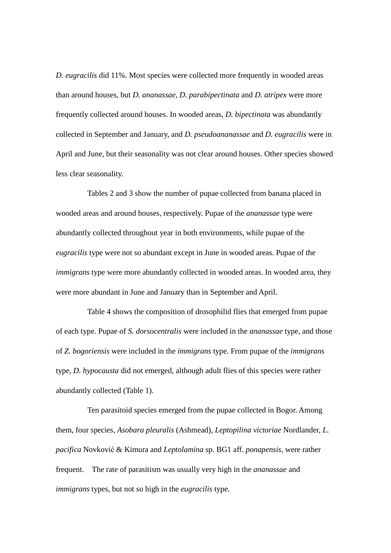*D. eugracilis* did 11%. Most species were collected more frequently in wooded areas than around houses, but *D. ananassae*, *D. parabipectinata* and *D. atripex* were more frequently collected around houses. In wooded areas, *D. bipectinata* was abundantly collected in September and January, and *D. pseudoananassae* and *D. eugracilis* were in April and June, but their seasonality was not clear around houses. Other species showed less clear seasonality.

Tables 2 and 3 show the number of pupae collected from banana placed in wooded areas and around houses, respectively. Pupae of the *ananassae* type were abundantly collected throughout year in both environments, while pupae of the *eugracilis* type were not so abundant except in June in wooded areas. Pupae of the *immigrans* type were more abundantly collected in wooded areas. In wooded area, they were more abundant in June and January than in September and April.

Table 4 shows the composition of drosophilid flies that emerged from pupae of each type. Pupae of *S. dorsocentralis* were included in the *ananassae* type, and those of *Z. bogoriensis* were included in the *immigrans* type. From pupae of the *immigrans* type, *D. hypocausta* did not emerged, although adult flies of this species were rather abundantly collected (Table 1).

Ten parasitoid species emerged from the pupae collected in Bogor. Among them, four species, *Asobara pleuralis* (Ashmead), *Leptopilina victoriae* Nordlander, *L. pacifica* Novković & Kimura and *Leptolamina* sp. BG1 aff. *ponapensis*, were rather frequent. The rate of parasitism was usually very high in the *ananassae* and *immigrans* types, but not so high in the *eugracilis* type.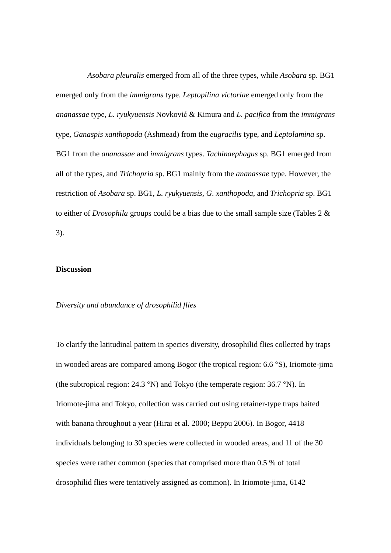*Asobara pleuralis* emerged from all of the three types, while *Asobara* sp. BG1 emerged only from the *immigrans* type. *Leptopilina victoriae* emerged only from the *ananassae* type, *L. ryukyuensis* Novković & Kimura and *L. pacifica* from the *immigrans* type, *Ganaspis xanthopoda* (Ashmead) from the *eugracilis* type, and *Leptolamina* sp. BG1 from the *ananassae* and *immigrans* types. *Tachinaephagus* sp. BG1 emerged from all of the types, and *Trichopria* sp. BG1 mainly from the *ananassae* type. However, the restriction of *Asobara* sp. BG1, *L. ryukyuensis*, *G*. *xanthopoda*, and *Trichopria* sp. BG1 to either of *Drosophila* groups could be a bias due to the small sample size (Tables 2 & 3).

# **Discussion**

## *Diversity and abundance of drosophilid flies*

To clarify the latitudinal pattern in species diversity, drosophilid flies collected by traps in wooded areas are compared among Bogor (the tropical region:  $6.6 \degree S$ ), Iriomote-jima (the subtropical region:  $24.3 \text{ }^{\circ}$ N) and Tokyo (the temperate region:  $36.7 \text{ }^{\circ}$ N). In Iriomote-jima and Tokyo, collection was carried out using retainer-type traps baited with banana throughout a year (Hirai et al. 2000; Beppu 2006). In Bogor, 4418 individuals belonging to 30 species were collected in wooded areas, and 11 of the 30 species were rather common (species that comprised more than 0.5 % of total drosophilid flies were tentatively assigned as common). In Iriomote-jima, 6142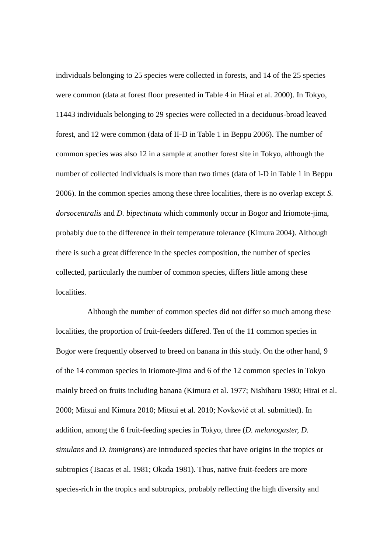individuals belonging to 25 species were collected in forests, and 14 of the 25 species were common (data at forest floor presented in Table 4 in Hirai et al. 2000). In Tokyo, 11443 individuals belonging to 29 species were collected in a deciduous-broad leaved forest, and 12 were common (data of II-D in Table 1 in Beppu 2006). The number of common species was also 12 in a sample at another forest site in Tokyo, although the number of collected individuals is more than two times (data of I-D in Table 1 in Beppu 2006). In the common species among these three localities, there is no overlap except *S. dorsocentralis* and *D. bipectinata* which commonly occur in Bogor and Iriomote-jima, probably due to the difference in their temperature tolerance (Kimura 2004). Although there is such a great difference in the species composition, the number of species collected, particularly the number of common species, differs little among these localities.

Although the number of common species did not differ so much among these localities, the proportion of fruit-feeders differed. Ten of the 11 common species in Bogor were frequently observed to breed on banana in this study. On the other hand, 9 of the 14 common species in Iriomote-jima and 6 of the 12 common species in Tokyo mainly breed on fruits including banana (Kimura et al. 1977; Nishiharu 1980; Hirai et al. 2000; Mitsui and Kimura 2010; Mitsui et al. 2010; Novković et al. submitted). In addition, among the 6 fruit-feeding species in Tokyo, three (*D. melanogaster, D. simulans* and *D. immigrans*) are introduced species that have origins in the tropics or subtropics (Tsacas et al. 1981; Okada 1981). Thus, native fruit-feeders are more species-rich in the tropics and subtropics, probably reflecting the high diversity and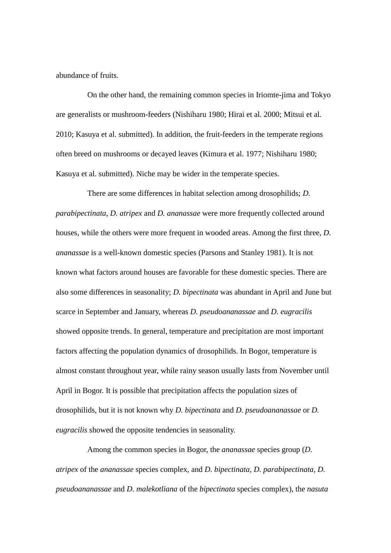abundance of fruits.

On the other hand, the remaining common species in Iriomte-jima and Tokyo are generalists or mushroom-feeders (Nishiharu 1980; Hirai et al. 2000; Mitsui et al. 2010; Kasuya et al. submitted). In addition, the fruit-feeders in the temperate regions often breed on mushrooms or decayed leaves (Kimura et al. 1977; Nishiharu 1980; Kasuya et al. submitted). Niche may be wider in the temperate species.

There are some differences in habitat selection among drosophilids; *D. parabipectinata, D. atripex* and *D. ananassae* were more frequently collected around houses, while the others were more frequent in wooded areas. Among the first three, *D. ananassae* is a well-known domestic species (Parsons and Stanley 1981). It is not known what factors around houses are favorable for these domestic species. There are also some differences in seasonality; *D. bipectinata* was abundant in April and June but scarce in September and January, whereas *D. pseudoananassae* and *D. eugracilis* showed opposite trends. In general, temperature and precipitation are most important factors affecting the population dynamics of drosophilids. In Bogor, temperature is almost constant throughout year, while rainy season usually lasts from November until April in Bogor. It is possible that precipitation affects the population sizes of drosophilids, but it is not known why *D. bipectinata* and *D. pseudoananassae* or *D. eugracilis* showed the opposite tendencies in seasonality.

Among the common species in Bogor, the *ananassae* species group (*D. atripex* of the *ananassae* species complex, and *D. bipectinata*, *D. parabipectinata*, *D. pseudoananassae* and *D. malekotliana* of the *bipectinata* species complex), the *nasuta*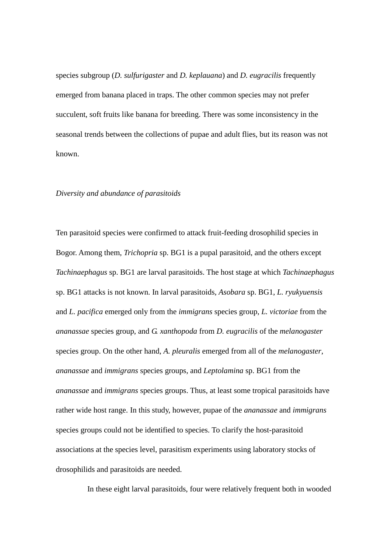species subgroup (*D. sulfurigaster* and *D. keplauana*) and *D. eugracilis* frequently emerged from banana placed in traps. The other common species may not prefer succulent, soft fruits like banana for breeding. There was some inconsistency in the seasonal trends between the collections of pupae and adult flies, but its reason was not known.

#### *Diversity and abundance of parasitoids*

Ten parasitoid species were confirmed to attack fruit-feeding drosophilid species in Bogor. Among them, *Trichopria* sp. BG1 is a pupal parasitoid, and the others except *Tachinaephagus* sp. BG1 are larval parasitoids. The host stage at which *Tachinaephagus* sp. BG1 attacks is not known. In larval parasitoids, *Asobara* sp. BG1, *L. ryukyuensis* and *L. pacifica* emerged only from the *immigrans* species group, *L. victoriae* from the *ananassae* species group, and *G. xanthopoda* from *D. eugracilis* of the *melanogaster* species group. On the other hand, *A. pleuralis* emerged from all of the *melanogaster*, *ananassae* and *immigrans* species groups, and *Leptolamina* sp. BG1 from the *ananassae* and *immigrans* species groups. Thus, at least some tropical parasitoids have rather wide host range. In this study, however, pupae of the *ananassae* and *immigrans* species groups could not be identified to species. To clarify the host-parasitoid associations at the species level, parasitism experiments using laboratory stocks of drosophilids and parasitoids are needed.

In these eight larval parasitoids, four were relatively frequent both in wooded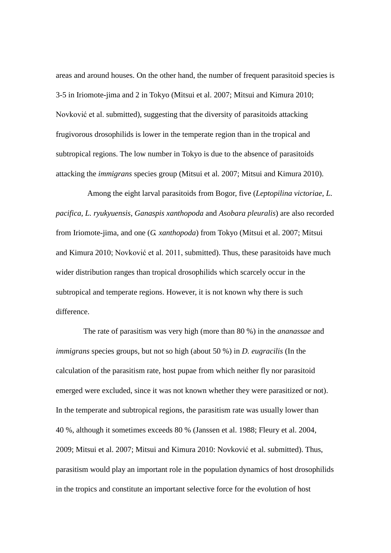areas and around houses. On the other hand, the number of frequent parasitoid species is 3-5 in Iriomote-jima and 2 in Tokyo (Mitsui et al. 2007; Mitsui and Kimura 2010; Novković et al. submitted), suggesting that the diversity of parasitoids attacking frugivorous drosophilids is lower in the temperate region than in the tropical and subtropical regions. The low number in Tokyo is due to the absence of parasitoids attacking the *immigrans* species group (Mitsui et al. 2007; Mitsui and Kimura 2010).

Among the eight larval parasitoids from Bogor, five (*Leptopilina victoriae*, *L. pacifica*, *L. ryukyuensis*, *Ganaspis xanthopoda* and *Asobara pleuralis*) are also recorded from Iriomote-jima, and one (*G. xanthopoda*) from Tokyo (Mitsui et al. 2007; Mitsui and Kimura 2010; Novković et al. 2011, submitted). Thus, these parasitoids have much wider distribution ranges than tropical drosophilids which scarcely occur in the subtropical and temperate regions. However, it is not known why there is such difference.

The rate of parasitism was very high (more than 80 %) in the *ananassae* and *immigrans* species groups, but not so high (about 50 %) in *D. eugracilis* (In the calculation of the parasitism rate, host pupae from which neither fly nor parasitoid emerged were excluded, since it was not known whether they were parasitized or not). In the temperate and subtropical regions, the parasitism rate was usually lower than 40 %, although it sometimes exceeds 80 % (Janssen et al. 1988; Fleury et al. 2004, 2009; Mitsui et al. 2007; Mitsui and Kimura 2010: Novković et al. submitted). Thus, parasitism would play an important role in the population dynamics of host drosophilids in the tropics and constitute an important selective force for the evolution of host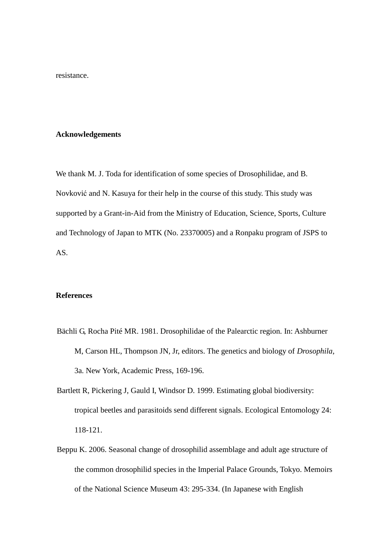resistance.

#### **Acknowledgements**

We thank M. J. Toda for identification of some species of Drosophilidae, and B. Novković and N. Kasuya for their help in the course of this study. This study was supported by a Grant-in-Aid from the Ministry of Education, Science, Sports, Culture and Technology of Japan to MTK (No. 23370005) and a Ronpaku program of JSPS to AS.

## **References**

- Bächli G, Rocha Pité MR. 1981. Drosophilidae of the Palearctic region. In: Ashburner M, Carson HL, Thompson JN, Jr, editors. The genetics and biology of *Drosophila*, 3a. New York, Academic Press, 169-196.
- Bartlett R, Pickering J, Gauld I, Windsor D. 1999. Estimating global biodiversity: tropical beetles and parasitoids send different signals. Ecological Entomology 24: 118-121.
- Beppu K. 2006. Seasonal change of drosophilid assemblage and adult age structure of the common drosophilid species in the Imperial Palace Grounds, Tokyo. Memoirs of the National Science Museum 43: 295-334. (In Japanese with English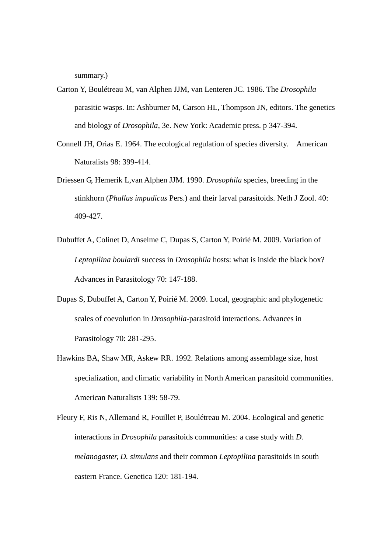summary.)

- Carton Y, Boulétreau M, van Alphen JJM, van Lenteren JC. 1986. The *Drosophila* parasitic wasps. In: Ashburner M, Carson HL, Thompson JN, editors. The genetics and biology of *Drosophila*, 3e. New York: Academic press. p 347-394.
- Connell JH, Orias E. 1964. The ecological regulation of species diversity. American Naturalists 98: 399-414.
- Driessen G, Hemerik L,van Alphen JJM. 1990. *Drosophila* species, breeding in the stinkhorn (*Phallus impudicus* Pers.) and their larval parasitoids. Neth J Zool. 40: 409-427.
- Dubuffet A, Colinet D, Anselme C, Dupas S, Carton Y, Poirié M. 2009. Variation of *Leptopilina boulardi* success in *Drosophila* hosts: what is inside the black box? Advances in Parasitology 70: 147-188.
- Dupas S, Dubuffet A, Carton Y, Poirié M. 2009. Local, geographic and phylogenetic scales of coevolution in *Drosophila*-parasitoid interactions. Advances in Parasitology 70: 281-295.
- Hawkins BA, Shaw MR, Askew RR. 1992. Relations among assemblage size, host specialization, and climatic variability in North American parasitoid communities. American Naturalists 139: 58-79.
- Fleury F, Ris N, Allemand R, Fouillet P, Boulétreau M. 2004. Ecological and genetic interactions in *Drosophila* parasitoids communities: a case study with *D. melanogaster, D. simulans* and their common *Leptopilina* parasitoids in south eastern France. Genetica 120: 181-194.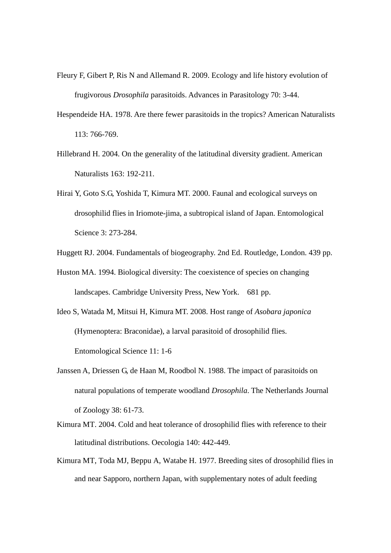- Fleury F, Gibert P, Ris N and Allemand R. 2009. Ecology and life history evolution of frugivorous *Drosophila* parasitoids. Advances in Parasitology 70: 3-44.
- Hespendeide HA. 1978. Are there fewer parasitoids in the tropics? American Naturalists 113: 766-769.
- Hillebrand H. 2004. On the generality of the latitudinal diversity gradient. American Naturalists 163: 192-211.
- Hirai Y, Goto S.G, Yoshida T, Kimura MT. 2000. Faunal and ecological surveys on drosophilid flies in Iriomote-jima, a subtropical island of Japan. Entomological Science 3: 273-284.
- Huggett RJ. 2004. Fundamentals of biogeography. 2nd Ed. Routledge, London. 439 pp.
- Huston MA. 1994. Biological diversity: The coexistence of species on changing landscapes. Cambridge University Press, New York. 681 pp.
- Ideo S, Watada M, Mitsui H, Kimura MT. 2008. Host range of *Asobara japonica*  (Hymenoptera: Braconidae), a larval parasitoid of drosophilid flies. Entomological Science 11: 1-6
- Janssen A, Driessen G, de Haan M, Roodbol N. 1988. The impact of parasitoids on natural populations of temperate woodland *Drosophila*. The Netherlands Journal of Zoology 38: 61-73.
- Kimura MT. 2004. Cold and heat tolerance of drosophilid flies with reference to their latitudinal distributions. Oecologia 140: 442-449.
- Kimura MT, Toda MJ, Beppu A, Watabe H. 1977. Breeding sites of drosophilid flies in and near Sapporo, northern Japan, with supplementary notes of adult feeding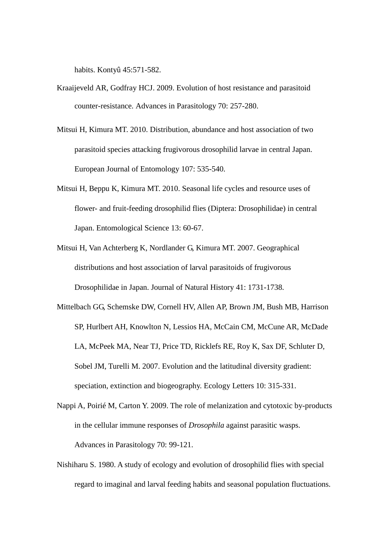habits. Kontyû 45:571-582.

- Kraaijeveld AR, Godfray HCJ. 2009. Evolution of host resistance and parasitoid counter-resistance. Advances in Parasitology 70: 257-280.
- Mitsui H, Kimura MT. 2010. Distribution, abundance and host association of two parasitoid species attacking frugivorous drosophilid larvae in central Japan. European Journal of Entomology 107: 535-540.
- Mitsui H, Beppu K, Kimura MT. 2010. Seasonal life cycles and resource uses of flower- and fruit-feeding drosophilid flies (Diptera: Drosophilidae) in central Japan. Entomological Science 13: 60-67.
- Mitsui H, Van Achterberg K, Nordlander G, Kimura MT. 2007. Geographical distributions and host association of larval parasitoids of frugivorous Drosophilidae in Japan. Journal of Natural History 41: 1731-1738.
- Mittelbach GG, Schemske DW, Cornell HV, Allen AP, Brown JM, Bush MB, Harrison SP, Hurlbert AH, Knowlton N, Lessios HA, McCain CM, McCune AR, McDade LA, McPeek MA, Near TJ, Price TD, Ricklefs RE, Roy K, Sax DF, Schluter D, Sobel JM, Turelli M. 2007. Evolution and the latitudinal diversity gradient: speciation, extinction and biogeography. Ecology Letters 10: 315-331.
- Nappi A, Poirié M, Carton Y. 2009. The role of melanization and cytotoxic by-products in the cellular immune responses of *Drosophila* against parasitic wasps. Advances in Parasitology 70: 99-121.
- Nishiharu S. 1980. A study of ecology and evolution of drosophilid flies with special regard to imaginal and larval feeding habits and seasonal population fluctuations.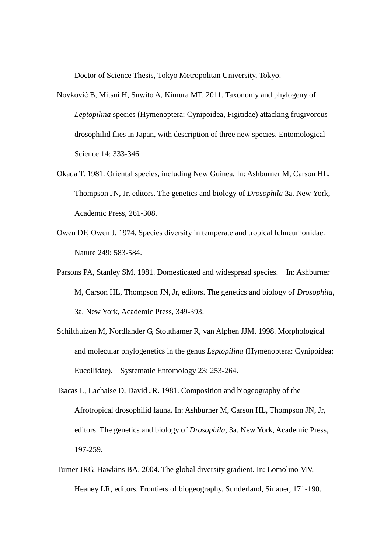Doctor of Science Thesis, Tokyo Metropolitan University, Tokyo.

- Novković B, Mitsui H, Suwito A, Kimura MT. 2011. Taxonomy and phylogeny of *Leptopilina* species (Hymenoptera: Cynipoidea, Figitidae) attacking frugivorous drosophilid flies in Japan, with description of three new species. Entomological Science 14: 333-346.
- Okada T. 1981. Oriental species, including New Guinea. In: Ashburner M, Carson HL, Thompson JN, Jr, editors. The genetics and biology of *Drosophila* 3a. New York, Academic Press, 261-308.
- Owen DF, Owen J. 1974. Species diversity in temperate and tropical Ichneumonidae. Nature 249: 583-584.
- Parsons PA, Stanley SM. 1981. Domesticated and widespread species. In: Ashburner M, Carson HL, Thompson JN, Jr, editors. The genetics and biology of *Drosophila*, 3a. New York, Academic Press, 349-393.
- Schilthuizen M, Nordlander G, Stouthamer R, van Alphen JJM. 1998. Morphological and molecular phylogenetics in the genus *Leptopilina* (Hymenoptera: Cynipoidea: Eucoilidae). Systematic Entomology 23: 253-264.
- Tsacas L, Lachaise D, David JR. 1981. Composition and biogeography of the Afrotropical drosophilid fauna. In: Ashburner M, Carson HL, Thompson JN, Jr, editors. The genetics and biology of *Drosophila*, 3a. New York, Academic Press, 197-259.
- Turner JRG, Hawkins BA. 2004. The global diversity gradient. In: Lomolino MV, Heaney LR, editors. Frontiers of biogeography. Sunderland, Sinauer, 171-190.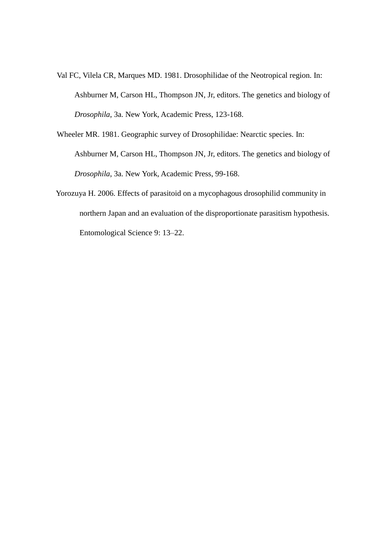- Val FC, Vilela CR, Marques MD. 1981. Drosophilidae of the Neotropical region. In: Ashburner M, Carson HL, Thompson JN, Jr, editors. The genetics and biology of *Drosophila*, 3a. New York, Academic Press, 123-168.
- Wheeler MR. 1981. Geographic survey of Drosophilidae: Nearctic species. In: Ashburner M, Carson HL, Thompson JN, Jr, editors. The genetics and biology of *Drosophila*, 3a. New York, Academic Press, 99-168.
- Yorozuya H. 2006. Effects of parasitoid on a mycophagous drosophilid community in northern Japan and an evaluation of the disproportionate parasitism hypothesis. Entomological Science 9: 13–22.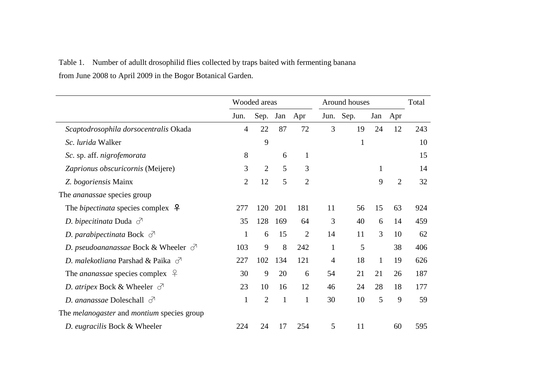# Table 1. Number of adullt drosophilid flies collected by traps baited with fermenting banana from June 2008 to April 2009 in the Bogor Botanical Garden.

|                                                          |                | Wooded areas   |     | Around houses  |              | Total        |     |                |     |
|----------------------------------------------------------|----------------|----------------|-----|----------------|--------------|--------------|-----|----------------|-----|
|                                                          | Jun.           | Sep.           | Jan | Apr            | Jun.         | Sep.         | Jan | Apr            |     |
| Scaptodrosophila dorsocentralis Okada                    | $\overline{4}$ | 22             | 87  | 72             | 3            | 19           | 24  | 12             | 243 |
| Sc. lurida Walker                                        |                | 9              |     |                |              | $\mathbf{1}$ |     |                | 10  |
| Sc. sp. aff. nigrofemorata                               | 8              |                | 6   | $\mathbf{1}$   |              |              |     |                | 15  |
| Zaprionus obscuricornis (Meijere)                        | 3              | $\overline{2}$ | 5   | 3              |              |              | 1   |                | 14  |
| Z. bogoriensis Mainx                                     | $\overline{2}$ | 12             | 5   | $\overline{2}$ |              |              | 9   | $\overline{2}$ | 32  |
| The ananassae species group                              |                |                |     |                |              |              |     |                |     |
| The <i>bipectinata</i> species complex $\varphi$         | 277            | 120            | 201 | 181            | 11           | 56           | 15  | 63             | 924 |
| D. bipecitinata Duda $\sigma$                            | 35             | 128            | 169 | 64             | 3            | 40           | 6   | 14             | 459 |
| D. parabipectinata Bock $\sigma$                         | $\mathbf{1}$   | 6              | 15  | $\overline{2}$ | 14           | 11           | 3   | 10             | 62  |
| D. pseudoananassae Bock & Wheeler $\sigma$               | 103            | 9              | 8   | 242            | $\mathbf{1}$ | 5            |     | 38             | 406 |
| D. malekotliana Parshad & Paika $\sigma$                 | 227            | 102            | 134 | 121            | 4            | 18           | 1   | 19             | 626 |
| The <i>ananassae</i> species complex $\varphi$           | 30             | 9              | 20  | 6              | 54           | 21           | 21  | 26             | 187 |
| <i>D. atripex</i> Bock & Wheeler $\sigma$                | 23             | 10             | 16  | 12             | 46           | 24           | 28  | 18             | 177 |
| D. ananassae Doleschall $\sigma$                         | $\mathbf{1}$   | $\overline{2}$ | 1   | $\mathbf{1}$   | 30           | 10           | 5   | 9              | 59  |
| The <i>melanogaster</i> and <i>montium</i> species group |                |                |     |                |              |              |     |                |     |
| D. eugracilis Bock & Wheeler                             | 224            | 24             | 17  | 254            | 5            | 11           |     | 60             | 595 |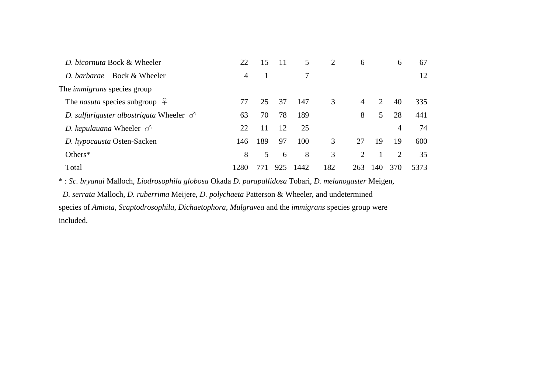| D. bicornuta Bock & Wheeler                    | 22   | 15  | 11  | 5    | 2   | 6   |     | 6   | 67   |
|------------------------------------------------|------|-----|-----|------|-----|-----|-----|-----|------|
| D. barbarae Bock & Wheeler                     | 4    |     |     |      |     |     |     |     | 12   |
| The <i>immigrans</i> species group             |      |     |     |      |     |     |     |     |      |
| The <i>nasuta</i> species subgroup $\varphi$   | 77   | 25  | 37  | 147  | 3   | 4   | 2   | 40  | 335  |
| D. sulfurigaster albostrigata Wheeler $\sigma$ | 63   | 70  | 78  | 189  |     | 8   | 5   | 28  | 441  |
| D. kepulauana Wheeler $\sigma$                 | 22   | 11  | 12  | 25   |     |     |     | 4   | 74   |
| D. hypocausta Osten-Sacken                     | 146  | 189 | 97  | 100  | 3   | 27  | 19  | 19  | 600  |
| Others $*$                                     | 8    | 5   | 6   | 8    | 3   | 2   |     | 2   | 35   |
| Total                                          | 1280 |     | 925 | 1442 | 182 | 263 | 140 | 370 | 5373 |

\* : *Sc. bryanai* Malloch, *Liodrosophila globosa* Okada *D. parapallidosa* Tobari, *D. melanogaster* Meigen,

*D. serrata* Malloch*, D. ruberrima* Meijere, *D. polychaeta* Patterson & Wheeler, and undetermined species of *Amiota, Scaptodrosophila, Dichaetophora, Mulgravea* and the *immigrans* species group were included.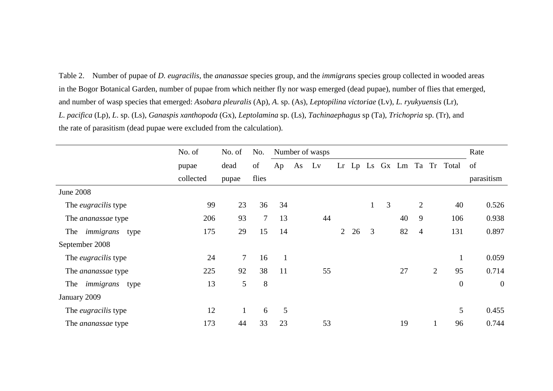Table 2. Number of pupae of *D. eugracilis*, the *ananassae* species group, and the *immigrans* species group collected in wooded areas in the Bogor Botanical Garden, number of pupae from which neither fly nor wasp emerged (dead pupae), number of flies that emerged, and number of wasp species that emerged: *Asobara pleuralis* (Ap), *A*. sp. (As), *Leptopilina victoriae* (Lv), *L. ryukyuensis* (Lr), *L. pacifica* (Lp), *L*. sp. (Ls), *Ganaspis xanthopoda* (Gx), *Leptolamina* sp. (Ls), *Tachinaephagus* sp (Ta), *Trichopria* sp. (Tr), and the rate of parasitism (dead pupae were excluded from the calculation).

|                            | No. of    | No. of | No.    |    |    | Number of wasps |                |    |              |   |    |                |                |                         | Rate           |
|----------------------------|-----------|--------|--------|----|----|-----------------|----------------|----|--------------|---|----|----------------|----------------|-------------------------|----------------|
|                            | pupae     | dead   | of     | Ap | As | Lv              | Lr             |    |              |   |    |                |                | Lp Ls Gx Lm Ta Tr Total | of             |
|                            | collected | pupae  | flies  |    |    |                 |                |    |              |   |    |                |                |                         | parasitism     |
| <b>June 2008</b>           |           |        |        |    |    |                 |                |    |              |   |    |                |                |                         |                |
| The <i>eugracilis</i> type | 99        | 23     | 36     | 34 |    |                 |                |    | $\mathbf{1}$ | 3 |    | $\overline{2}$ |                | 40                      | 0.526          |
| The <i>ananassae</i> type  | 206       | 93     | $\tau$ | 13 |    | 44              |                |    |              |   | 40 | 9              |                | 106                     | 0.938          |
| The <i>immigrans</i> type  | 175       | 29     | 15     | 14 |    |                 | $\overline{2}$ | 26 | 3            |   | 82 | $\overline{4}$ |                | 131                     | 0.897          |
| September 2008             |           |        |        |    |    |                 |                |    |              |   |    |                |                |                         |                |
| The <i>eugracilis</i> type | 24        | $\tau$ | 16     |    |    |                 |                |    |              |   |    |                |                |                         | 0.059          |
| The <i>ananassae</i> type  | 225       | 92     | 38     | 11 |    | 55              |                |    |              |   | 27 |                | $\overline{2}$ | 95                      | 0.714          |
| immigrans<br>The<br>type   | 13        | 5      | 8      |    |    |                 |                |    |              |   |    |                |                | $\mathbf{0}$            | $\overline{0}$ |
| January 2009               |           |        |        |    |    |                 |                |    |              |   |    |                |                |                         |                |
| The <i>eugracilis</i> type | 12        |        | 6      | 5  |    |                 |                |    |              |   |    |                |                | 5                       | 0.455          |
| The <i>ananassae</i> type  | 173       | 44     | 33     | 23 |    | 53              |                |    |              |   | 19 |                |                | 96                      | 0.744          |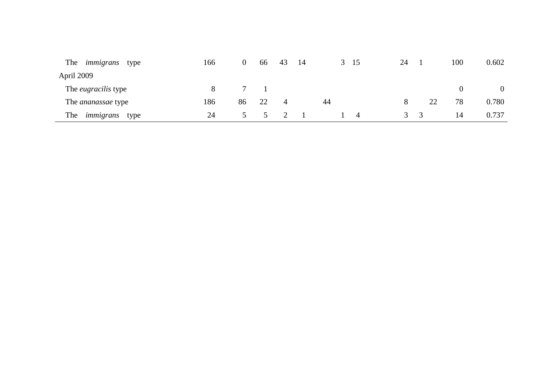| The<br>immigrans<br>type   | 166 | 0  | 66 | 43 | -14 | 3 15           | 24                                |    | 100 | 0.602 |
|----------------------------|-----|----|----|----|-----|----------------|-----------------------------------|----|-----|-------|
| April 2009                 |     |    |    |    |     |                |                                   |    |     |       |
| The <i>eugracilis</i> type | 8.  |    |    |    |     |                |                                   |    |     |       |
| The <i>ananassae</i> type  | 186 | 86 | 22 | 4  |     | 44             |                                   | 22 | 78  | 0.780 |
| The<br>immigrans<br>type   | 24  |    |    |    |     | $\overline{4}$ | $\mathfrak{I} \quad \mathfrak{I}$ |    | 14  | 0.737 |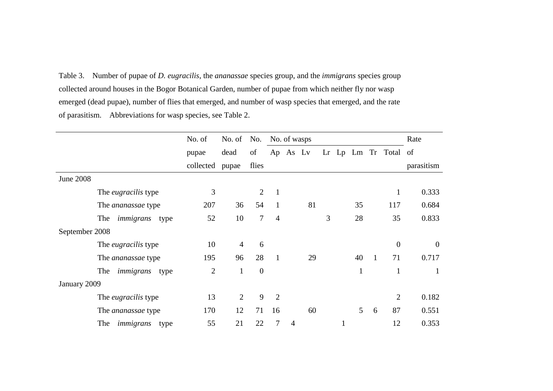Table 3. Number of pupae of *D. eugracilis*, the *ananassae* species group, and the *immigrans* species group collected around houses in the Bogor Botanical Garden, number of pupae from which neither fly nor wasp emerged (dead pupae), number of flies that emerged, and number of wasp species that emerged, and the rate of parasitism. Abbreviations for wasp species, see Table 2.

|                  |                            | No. of         | No. of         | No.      | No. of wasps   |                |    |   |   |    | Rate         |                      |                |
|------------------|----------------------------|----------------|----------------|----------|----------------|----------------|----|---|---|----|--------------|----------------------|----------------|
|                  |                            | pupae          | dead           | of       | Ap             | As Lv          |    |   |   |    |              | Lr Lp Lm Tr Total of |                |
|                  |                            | collected      | pupae          | flies    |                |                |    |   |   |    |              |                      | parasitism     |
| <b>June 2008</b> |                            |                |                |          |                |                |    |   |   |    |              |                      |                |
|                  | The <i>eugracilis</i> type | 3              |                | 2        | $\mathbf{1}$   |                |    |   |   |    |              | л.                   | 0.333          |
|                  | The <i>ananassae</i> type  | 207            | 36             | 54       | 1              |                | 81 |   |   | 35 |              | 117                  | 0.684          |
|                  | The<br>immigrans<br>type   | 52             | 10             | 7        | $\overline{4}$ |                |    | 3 |   | 28 |              | 35                   | 0.833          |
| September 2008   |                            |                |                |          |                |                |    |   |   |    |              |                      |                |
|                  | The <i>eugracilis</i> type | 10             | $\overline{4}$ | 6        |                |                |    |   |   |    |              | $\theta$             | $\overline{0}$ |
|                  | The <i>ananassae</i> type  | 195            | 96             | 28       | $\mathbf{1}$   |                | 29 |   |   | 40 | $\mathbf{1}$ | 71                   | 0.717          |
|                  | The<br>immigrans<br>type   | $\overline{2}$ | $\mathbf{1}$   | $\theta$ |                |                |    |   |   | 1  |              | $\mathbf{1}$         | 1              |
| January 2009     |                            |                |                |          |                |                |    |   |   |    |              |                      |                |
|                  | The <i>eugracilis</i> type | 13             | $\overline{2}$ | 9        | $\overline{2}$ |                |    |   |   |    |              | $\overline{2}$       | 0.182          |
|                  | The <i>ananassae</i> type  | 170            | 12             | 71       | 16             |                | 60 |   |   | 5  | 6            | 87                   | 0.551          |
|                  | The<br>immigrans<br>type   | 55             | 21             | 22       | $\overline{7}$ | $\overline{4}$ |    |   | 1 |    |              | 12                   | 0.353          |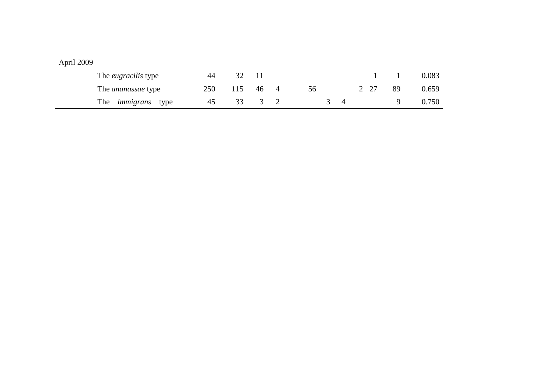| The <i>eugracilis</i> type | 44  |     |        |          |    |    | 0.083 |
|----------------------------|-----|-----|--------|----------|----|----|-------|
| The <i>ananassae</i> type  | 250 | 115 | 46 4   | 56       | 27 | 89 | 0.659 |
| The <i>immigrans</i> type  | 45  |     | 33 3 2 | $\sim$ 4 |    |    | 0.750 |